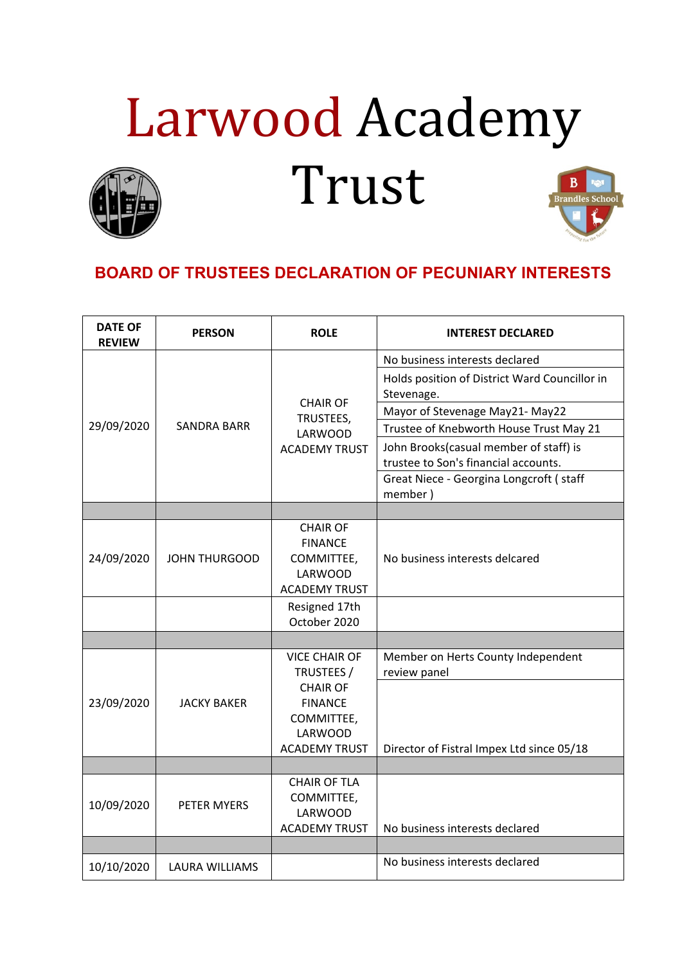## Larwood Academy Trust

## **BOARD OF TRUSTEES DECLARATION OF PECUNIARY INTERESTS**

| <b>DATE OF</b><br><b>REVIEW</b> | <b>PERSON</b>        | <b>ROLE</b>                                                                                                                     | <b>INTEREST DECLARED</b>                                                       |
|---------------------------------|----------------------|---------------------------------------------------------------------------------------------------------------------------------|--------------------------------------------------------------------------------|
| 29/09/2020                      | <b>SANDRA BARR</b>   | <b>CHAIR OF</b><br>TRUSTEES,<br>LARWOOD<br><b>ACADEMY TRUST</b>                                                                 | No business interests declared                                                 |
|                                 |                      |                                                                                                                                 | Holds position of District Ward Councillor in<br>Stevenage.                    |
|                                 |                      |                                                                                                                                 | Mayor of Stevenage May21- May22                                                |
|                                 |                      |                                                                                                                                 | Trustee of Knebworth House Trust May 21                                        |
|                                 |                      |                                                                                                                                 | John Brooks(casual member of staff) is<br>trustee to Son's financial accounts. |
|                                 |                      |                                                                                                                                 | Great Niece - Georgina Longcroft ( staff<br>member)                            |
|                                 |                      |                                                                                                                                 |                                                                                |
| 24/09/2020                      | <b>JOHN THURGOOD</b> | <b>CHAIR OF</b><br><b>FINANCE</b><br>COMMITTEE,<br><b>LARWOOD</b><br><b>ACADEMY TRUST</b>                                       | No business interests delcared                                                 |
|                                 |                      | Resigned 17th<br>October 2020                                                                                                   |                                                                                |
|                                 |                      |                                                                                                                                 |                                                                                |
| 23/09/2020                      | <b>JACKY BAKER</b>   | <b>VICE CHAIR OF</b><br>TRUSTEES /<br><b>CHAIR OF</b><br><b>FINANCE</b><br>COMMITTEE,<br><b>LARWOOD</b><br><b>ACADEMY TRUST</b> | Member on Herts County Independent<br>review panel                             |
|                                 |                      |                                                                                                                                 | Director of Fistral Impex Ltd since 05/18                                      |
|                                 |                      |                                                                                                                                 |                                                                                |
| 10/09/2020                      | PETER MYERS          | <b>CHAIR OF TLA</b><br>COMMITTEE,<br>LARWOOD<br><b>ACADEMY TRUST</b>                                                            | No business interests declared                                                 |
|                                 |                      |                                                                                                                                 |                                                                                |
| 10/10/2020                      | LAURA WILLIAMS       |                                                                                                                                 | No business interests declared                                                 |